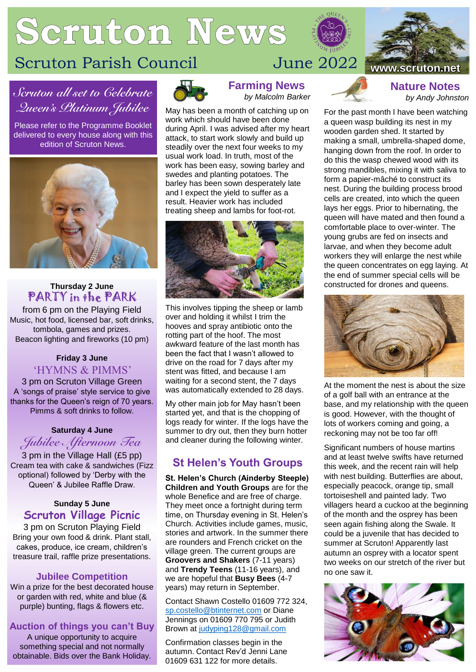# Scruton News



# *Scruton all set to Celebrate Queen's Platinum Jubilee*

Please refer to the Programme Booklet delivered to every house along with this edition of Scruton News.



#### **Thursday 2 June** PARTY in the PARK

from 6 pm on the Playing Field Music, hot food, licensed bar, soft drinks, tombola, games and prizes. Beacon lighting and fireworks (10 pm)

#### **Friday 3 June** 'HYMNS & PIMMS'

3 pm on Scruton Village Green A 'songs of praise' style service to give thanks for the Queen's reign of 70 years. Pimms & soft drinks to follow.

#### **Saturday 4 June**

*Jubilee Afternoon Tea* 3 pm in the Village Hall (£5 pp)

Cream tea with cake & sandwiches (Fizz optional) followed by 'Derby with the Queen' & Jubilee Raffle Draw.

#### **Sunday 5 June Scruton Village Picnic**

3 pm on Scruton Playing Field Bring your own food & drink. Plant stall, cakes, produce, ice cream, children's treasure trail, raffle prize presentations.

#### **Jubilee Competition**

Win a prize for the best decorated house or garden with red, white and blue (& purple) bunting, flags & flowers etc.

#### **Auction of things you can't Buy**

A unique opportunity to acquire something special and not normally obtainable. Bids over the Bank Holiday.



**Farming News** *by Malcolm Barker*

May has been a month of catching up on work which should have been done during April. I was advised after my heart attack, to start work slowly and build up steadily over the next four weeks to my usual work load. In truth, most of the work has been easy, sowing barley and swedes and planting potatoes. The barley has been sown desperately late and I expect the yield to suffer as a result. Heavier work has included treating sheep and lambs for foot-rot.



This involves tipping the sheep or lamb over and holding it whilst I trim the hooves and spray antibiotic onto the rotting part of the hoof. The most awkward feature of the last month has been the fact that I wasn't allowed to drive on the road for 7 days after my stent was fitted, and because I am waiting for a second stent, the 7 days was automatically extended to 28 days.

My other main job for May hasn't been started yet, and that is the chopping of logs ready for winter. If the logs have the summer to dry out, then they burn hotter and cleaner during the following winter.

# **St Helen's Youth Groups**

**St. Helen's Church (Ainderby Steeple) Children and Youth Groups** are for the whole Benefice and are free of charge. They meet once a fortnight during term time, on Thursday evening in St. Helen's Church. Activities include games, music, stories and artwork. In the summer there are rounders and French cricket on the village green. The current groups are **Groovers and Shakers** (7-11 years) and **Trendy Teens** (11-16 years), and we are hopeful that **Busy Bees** (4-7 years) may return in September.

Contact Shawn Costello 01609 772 324, [sp.costello@btinternet.com](mailto:sp.costello@btinternet.com) or Diane Jennings on 01609 770 795 or Judith Brown at [judyping128@gmail.com](mailto:judyping128@gmail.com)

Confirmation classes begin in the autumn. Contact Rev'd Jenni Lane 01609 631 122 for more details.



**Nature Notes** *by Andy Johnston*

For the past month I have been watching a queen wasp building its nest in my wooden garden shed. It started by making a small, umbrella-shaped dome, hanging down from the roof. In order to do this the wasp chewed wood with its strong mandibles, mixing it with saliva to form a papier-mâché to construct its nest. During the building process brood cells are created, into which the queen lays her eggs. Prior to hibernating, the queen will have mated and then found a comfortable place to over-winter. The young grubs are fed on insects and larvae, and when they become adult workers they will enlarge the nest while the queen concentrates on egg laying. At the end of summer special cells will be constructed for drones and queens.



At the moment the nest is about the size of a golf ball with an entrance at the base, and my relationship with the queen is good. However, with the thought of lots of workers coming and going, a reckoning may not be too far off!

Significant numbers of house martins and at least twelve swifts have returned this week, and the recent rain will help with nest building. Butterflies are about, especially peacock, orange tip, small tortoiseshell and painted lady. Two villagers heard a cuckoo at the beginning of the month and the osprey has been seen again fishing along the Swale. It could be a juvenile that has decided to summer at Scruton! Apparently last autumn an osprey with a locator spent two weeks on our stretch of the river but no one saw it.